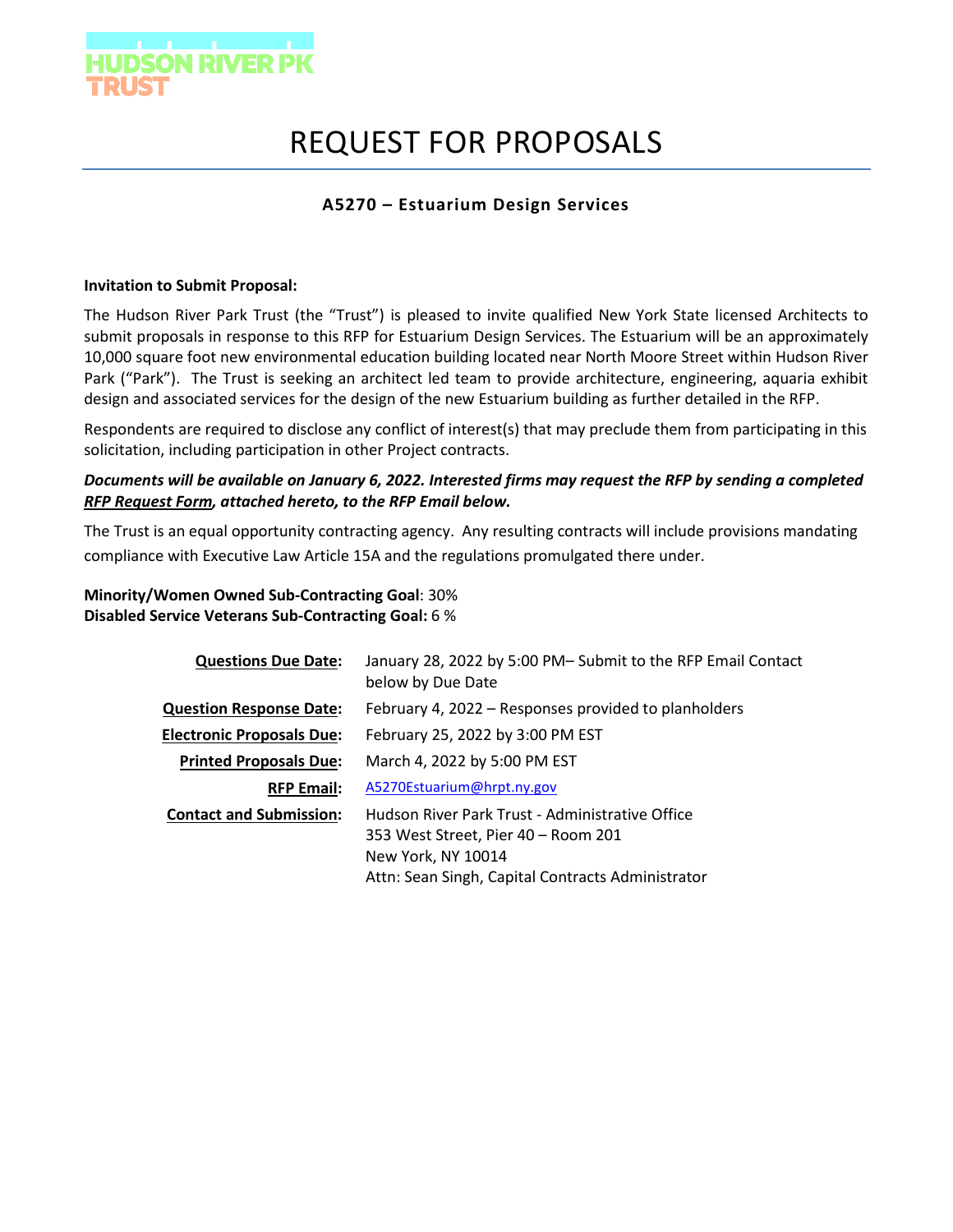

# REQUEST FOR PROPOSALS

## **A5270 – Estuarium Design Services**

#### **Invitation to Submit Proposal:**

The Hudson River Park Trust (the "Trust") is pleased to invite qualified New York State licensed Architects to submit proposals in response to this RFP for Estuarium Design Services. The Estuarium will be an approximately 10,000 square foot new environmental education building located near North Moore Street within Hudson River Park ("Park"). The Trust is seeking an architect led team to provide architecture, engineering, aquaria exhibit design and associated services for the design of the new Estuarium building as further detailed in the RFP.

Respondents are required to disclose any conflict of interest(s) that may preclude them from participating in this solicitation, including participation in other Project contracts.

### *Documents will be available on January 6, 2022. Interested firms may request the RFP by sending a completed RFP Request Form, attached hereto, to the RFP Email below.*

The Trust is an equal opportunity contracting agency. Any resulting contracts will include provisions mandating compliance with Executive Law Article 15A and the regulations promulgated there under.

**Minority/Women Owned Sub-Contracting Goal**: 30% **Disabled Service Veterans Sub-Contracting Goal:** 6 %

| <b>Questions Due Date:</b>       | January 28, 2022 by 5:00 PM- Submit to the RFP Email Contact<br>below by Due Date                                                                                 |
|----------------------------------|-------------------------------------------------------------------------------------------------------------------------------------------------------------------|
| <b>Question Response Date:</b>   | February 4, 2022 – Responses provided to planholders                                                                                                              |
| <b>Electronic Proposals Due:</b> | February 25, 2022 by 3:00 PM EST                                                                                                                                  |
| <b>Printed Proposals Due:</b>    | March 4, 2022 by 5:00 PM EST                                                                                                                                      |
| <b>RFP Email:</b>                | A5270Estuarium@hrpt.ny.gov                                                                                                                                        |
| <b>Contact and Submission:</b>   | Hudson River Park Trust - Administrative Office<br>353 West Street, Pier 40 – Room 201<br>New York, NY 10014<br>Attn: Sean Singh, Capital Contracts Administrator |